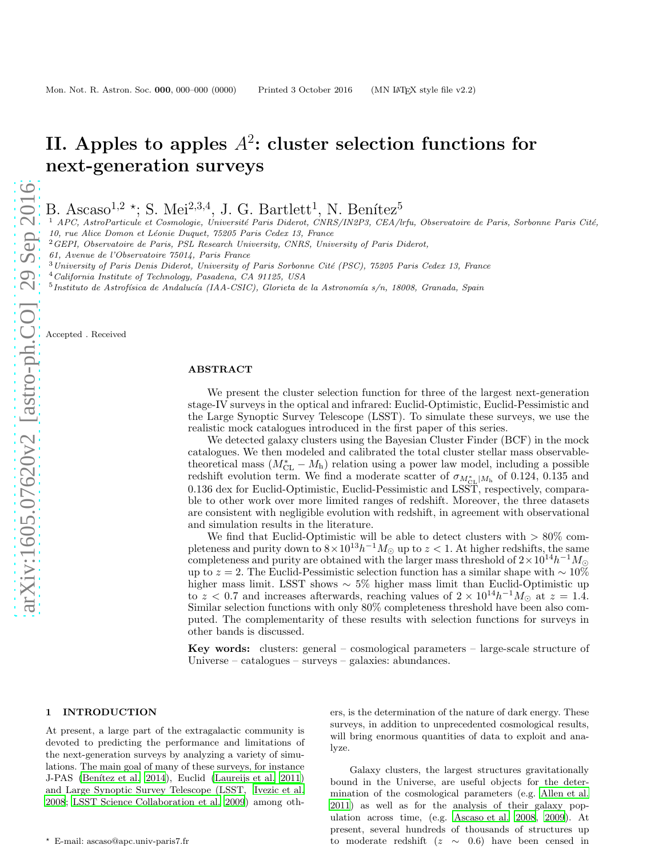# II. Apples to apples  $A^2$ : cluster selection functions for next-generation surveys

B. Ascaso<sup>1,2</sup>  $\star$ ; S. Mei<sup>2,3,4</sup>, J. G. Bartlett<sup>1</sup>, N. Benítez<sup>5</sup>

 $1$  APC, AstroParticule et Cosmologie, Université Paris Diderot, CNRS/IN2P3, CEA/lrfu, Observatoire de Paris, Sorbonne Paris Cité, 10, rue Alice Domon et Léonie Duquet, 75205 Paris Cedex 13, France

<sup>2</sup>GEPI, Observatoire de Paris, PSL Research University, CNRS, University of Paris Diderot,

61, Avenue de l'Observatoire 75014, Paris France

 $3$  University of Paris Denis Diderot, University of Paris Sorbonne Cité (PSC), 75205 Paris Cedex 13, France

- <sup>4</sup>California Institute of Technology, Pasadena, CA 91125, USA
- $^{5}$ Instituto de Astrofísica de Andalucía (IAA-CSIC), Glorieta de la Astronomía s/n, 18008, Granada, Spain

Accepted . Received

# ABSTRACT

We present the cluster selection function for three of the largest next-generation stage-IV surveys in the optical and infrared: Euclid-Optimistic, Euclid-Pessimistic and the Large Synoptic Survey Telescope (LSST). To simulate these surveys, we use the realistic mock catalogues introduced in the first paper of this series.

We detected galaxy clusters using the Bayesian Cluster Finder (BCF) in the mock catalogues. We then modeled and calibrated the total cluster stellar mass observabletheoretical mass  $(M<sub>CL</sub> - M<sub>h</sub>)$  relation using a power law model, including a possible redshift evolution term. We find a moderate scatter of  $\sigma_{M_{CL}^*|M_h}$  of 0.124, 0.135 and 0.136 dex for Euclid-Optimistic, Euclid-Pessimistic and LSST, respectively, comparable to other work over more limited ranges of redshift. Moreover, the three datasets are consistent with negligible evolution with redshift, in agreement with observational and simulation results in the literature.

We find that Euclid-Optimistic will be able to detect clusters with  $> 80\%$  completeness and purity down to  $8 \times 10^{13} h^{-1} M_{\odot}$  up to  $z < 1$ . At higher redshifts, the same completeness and purity are obtained with the larger mass threshold of  $2 \times 10^{14} h^{-1} M_{\odot}$ up to  $z = 2$ . The Euclid-Pessimistic selection function has a similar shape with ~ 10% higher mass limit. LSST shows ∼ 5% higher mass limit than Euclid-Optimistic up to z < 0.7 and increases afterwards, reaching values of  $2 \times 10^{14} h^{-1} M_{\odot}$  at  $z = 1.4$ . Similar selection functions with only 80% completeness threshold have been also computed. The complementarity of these results with selection functions for surveys in other bands is discussed.

Key words: clusters: general – cosmological parameters – large-scale structure of Universe – catalogues – surveys – galaxies: abundances.

## 1 INTRODUCTION

At present, a large part of the extragalactic community is devoted to predicting the performance and limitations of the next-generation surveys by analyzing a variety of simulations. The main goal of many of these surveys, for instance J-PAS (Benítez et al. 2014), Euclid [\(Laureijs et al. 2011](#page-11-1)) and Large Synoptic Survey Telescope (LSST, [Ivezic et al.](#page-11-2) [2008](#page-11-2); [LSST Science Collaboration et al. 2009](#page-11-3)) among oth-

ers, is the determination of the nature of dark energy. These surveys, in addition to unprecedented cosmological results, will bring enormous quantities of data to exploit and analyze.

Galaxy clusters, the largest structures gravitationally bound in the Universe, are useful objects for the determination of the cosmological parameters (e.g. [Allen et al.](#page-11-4) [2011](#page-11-4)) as well as for the analysis of their galaxy population across time, (e.g. [Ascaso et al. 2008,](#page-11-5) [2009\)](#page-11-6). At present, several hundreds of thousands of structures up to moderate redshift ( $z \sim 0.6$ ) have been censed in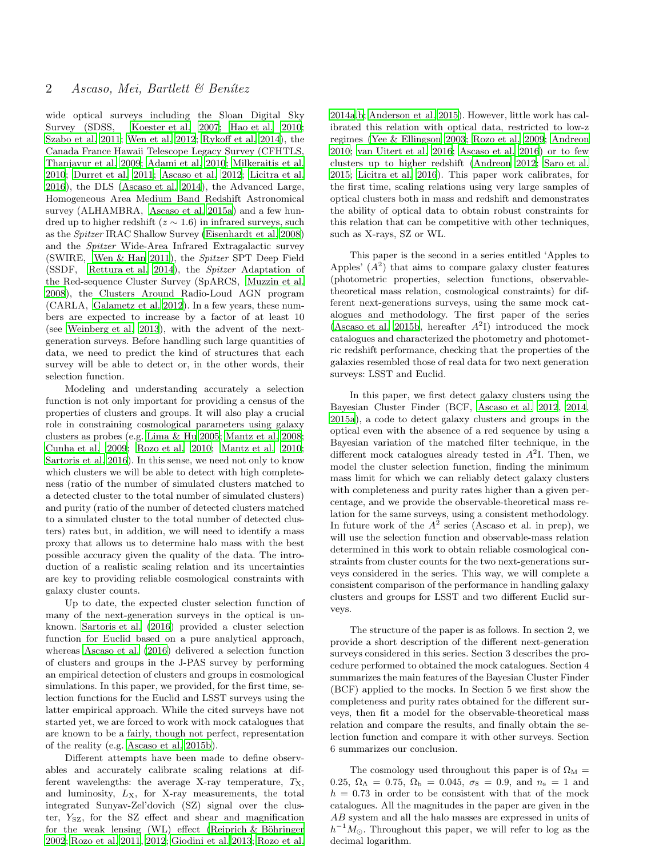wide optical surveys including the Sloan Digital Sky Survey (SDSS, [Koester et al. 2007](#page-11-7); [Hao et al. 2010;](#page-11-8) [Szabo et al. 2011](#page-12-0); [Wen et al. 2012;](#page-12-1) [Rykoff et al. 2014\)](#page-11-9), the Canada France Hawaii Telescope Legacy Survey (CFHTLS, [Thanjavur et al. 2009;](#page-12-2) [Adami et al. 2010](#page-11-10); [Milkeraitis et al.](#page-11-11) [2010](#page-11-11); [Durret et al. 2011;](#page-11-12) [Ascaso et al. 2012](#page-11-13); [Licitra et al.](#page-11-14) [2016](#page-11-14)), the DLS [\(Ascaso et al. 2014\)](#page-11-15), the Advanced Large, Homogeneous Area Medium Band Redshift Astronomical survey (ALHAMBRA, [Ascaso et al. 2015a\)](#page-11-16) and a few hundred up to higher redshift ( $z \sim 1.6$ ) in infrared surveys, such as the Spitzer IRAC Shallow Survey [\(Eisenhardt et al. 2008](#page-11-17)) and the Spitzer Wide-Area Infrared Extragalactic survey (SWIRE, [Wen & Han 2011\)](#page-12-3), the Spitzer SPT Deep Field (SSDF, [Rettura et al. 2014](#page-11-18)), the Spitzer Adaptation of the Red-sequence Cluster Survey (SpARCS, [Muzzin et al.](#page-11-19) [2008](#page-11-19)), the Clusters Around Radio-Loud AGN program (CARLA, [Galametz et al. 2012](#page-11-20)). In a few years, these numbers are expected to increase by a factor of at least 10 (see [Weinberg et al. 2013](#page-12-4)), with the advent of the nextgeneration surveys. Before handling such large quantities of data, we need to predict the kind of structures that each survey will be able to detect or, in the other words, their selection function.

Modeling and understanding accurately a selection function is not only important for providing a census of the properties of clusters and groups. It will also play a crucial role in constraining cosmological parameters using galaxy clusters as probes (e.g. [Lima & Hu 2005;](#page-11-21) [Mantz et al. 2008;](#page-11-22) [Cunha et al. 2009](#page-11-23); [Rozo et al. 2010](#page-11-24); [Mantz et al. 2010;](#page-11-25) [Sartoris et al. 2016\)](#page-11-26). In this sense, we need not only to know which clusters we will be able to detect with high completeness (ratio of the number of simulated clusters matched to a detected cluster to the total number of simulated clusters) and purity (ratio of the number of detected clusters matched to a simulated cluster to the total number of detected clusters) rates but, in addition, we will need to identify a mass proxy that allows us to determine halo mass with the best possible accuracy given the quality of the data. The introduction of a realistic scaling relation and its uncertainties are key to providing reliable cosmological constraints with galaxy cluster counts.

Up to date, the expected cluster selection function of many of the next-generation surveys in the optical is unknown. [Sartoris et al. \(2016](#page-11-26)) provided a cluster selection function for Euclid based on a pure analytical approach, whereas [Ascaso et al. \(2016](#page-11-27)) delivered a selection function of clusters and groups in the J-PAS survey by performing an empirical detection of clusters and groups in cosmological simulations. In this paper, we provided, for the first time, selection functions for the Euclid and LSST surveys using the latter empirical approach. While the cited surveys have not started yet, we are forced to work with mock catalogues that are known to be a fairly, though not perfect, representation of the reality (e.g. [Ascaso et al. 2015b](#page-11-28)).

Different attempts have been made to define observables and accurately calibrate scaling relations at different wavelengths: the average X-ray temperature,  $T_{\rm X}$ , and luminosity,  $L_X$ , for X-ray measurements, the total integrated Sunyav-Zel'dovich (SZ) signal over the cluster,  $Y_{\text{SZ}}$ , for the SZ effect and shear and magnification for the weak lensing (WL) effect (Reiprich  $&$  Böhringer [2002](#page-11-29); [Rozo et al. 2011,](#page-11-30) [2012](#page-11-31); [Giodini et al. 2013](#page-11-32); [Rozo et al.](#page-11-33) [2014a](#page-11-33)[,b;](#page-11-34) [Anderson et al. 2015](#page-11-35)). However, little work has calibrated this relation with optical data, restricted to low-z regimes [\(Yee & Ellingson 2003](#page-12-5); [Rozo et al. 2009](#page-11-36); [Andreon](#page-11-37) [2010](#page-11-37); [van Uitert et al. 2016;](#page-12-6) [Ascaso et al. 2016](#page-11-27)) or to few clusters up to higher redshift [\(Andreon 2012](#page-11-38); [Saro et al.](#page-11-39) [2015](#page-11-39); [Licitra et al. 2016\)](#page-11-14). This paper work calibrates, for the first time, scaling relations using very large samples of optical clusters both in mass and redshift and demonstrates the ability of optical data to obtain robust constraints for this relation that can be competitive with other techniques, such as X-rays, SZ or WL.

This paper is the second in a series entitled 'Apples to Apples'  $(A^2)$  that aims to compare galaxy cluster features (photometric properties, selection functions, observabletheoretical mass relation, cosmological constraints) for different next-generations surveys, using the same mock catalogues and methodology. The first paper of the series [\(Ascaso et al. 2015b,](#page-11-28) hereafter  $A^2I$ ) introduced the mock catalogues and characterized the photometry and photometric redshift performance, checking that the properties of the galaxies resembled those of real data for two next generation surveys: LSST and Euclid.

In this paper, we first detect galaxy clusters using the Bayesian Cluster Finder (BCF, [Ascaso et al. 2012,](#page-11-13) [2014](#page-11-15), [2015a](#page-11-16)), a code to detect galaxy clusters and groups in the optical even with the absence of a red sequence by using a Bayesian variation of the matched filter technique, in the different mock catalogues already tested in  $A<sup>2</sup>$ I. Then, we model the cluster selection function, finding the minimum mass limit for which we can reliably detect galaxy clusters with completeness and purity rates higher than a given percentage, and we provide the observable-theoretical mass relation for the same surveys, using a consistent methodology. In future work of the  $A^2$  series (Ascaso et al. in prep), we will use the selection function and observable-mass relation determined in this work to obtain reliable cosmological constraints from cluster counts for the two next-generations surveys considered in the series. This way, we will complete a consistent comparison of the performance in handling galaxy clusters and groups for LSST and two different Euclid surveys.

The structure of the paper is as follows. In section 2, we provide a short description of the different next-generation surveys considered in this series. Section 3 describes the procedure performed to obtained the mock catalogues. Section 4 summarizes the main features of the Bayesian Cluster Finder (BCF) applied to the mocks. In Section 5 we first show the completeness and purity rates obtained for the different surveys, then fit a model for the observable-theoretical mass relation and compare the results, and finally obtain the selection function and compare it with other surveys. Section 6 summarizes our conclusion.

The cosmology used throughout this paper is of  $\Omega_M =$ 0.25,  $\Omega_{\Lambda} = 0.75$ ,  $\Omega_{\rm b} = 0.045$ ,  $\sigma_8 = 0.9$ , and  $n_{\rm s} = 1$  and  $h = 0.73$  in order to be consistent with that of the mock catalogues. All the magnitudes in the paper are given in the AB system and all the halo masses are expressed in units of  $h^{-1}M_{\odot}$ . Throughout this paper, we will refer to log as the decimal logarithm.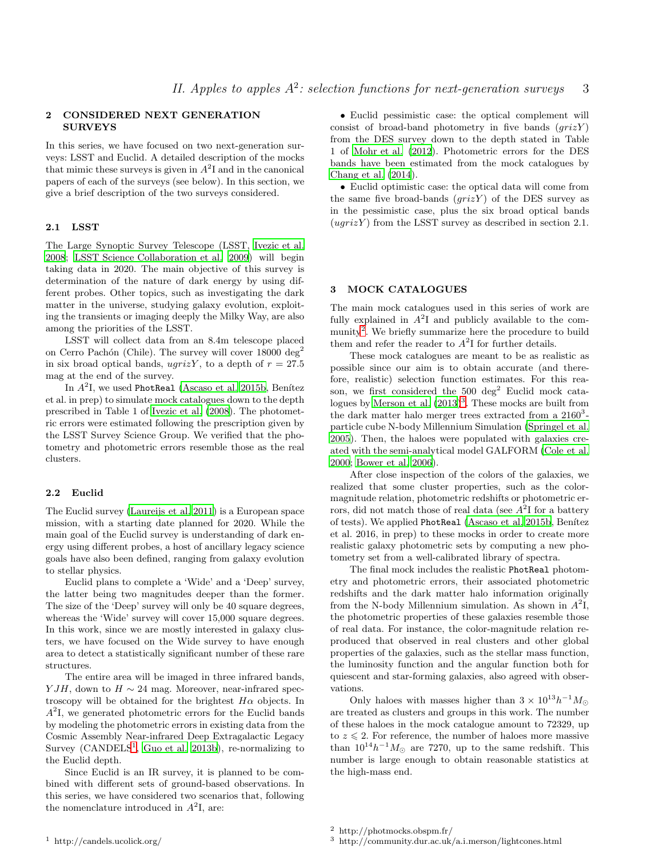# 2 CONSIDERED NEXT GENERATION **SURVEYS**

In this series, we have focused on two next-generation surveys: LSST and Euclid. A detailed description of the mocks that mimic these surveys is given in  $A<sup>2</sup>I$  and in the canonical papers of each of the surveys (see below). In this section, we give a brief description of the two surveys considered.

# 2.1 LSST

The Large Synoptic Survey Telescope (LSST, [Ivezic et al.](#page-11-2) [2008](#page-11-2); [LSST Science Collaboration et al. 2009\)](#page-11-3) will begin taking data in 2020. The main objective of this survey is determination of the nature of dark energy by using different probes. Other topics, such as investigating the dark matter in the universe, studying galaxy evolution, exploiting the transients or imaging deeply the Milky Way, are also among the priorities of the LSST.

LSST will collect data from an 8.4m telescope placed on Cerro Pachón (Chile). The survey will cover  $18000 \text{ deg}^2$ in six broad optical bands, ugrizY, to a depth of  $r = 27.5$ mag at the end of the survey.

In  $A^2$ I, we used PhotReal [\(Ascaso et al. 2015b,](#page-11-28) Benítez et al. in prep) to simulate mock catalogues down to the depth prescribed in Table 1 of [Ivezic et al. \(2008\)](#page-11-2). The photometric errors were estimated following the prescription given by the LSST Survey Science Group. We verified that the photometry and photometric errors resemble those as the real clusters.

### 2.2 Euclid

The Euclid survey [\(Laureijs et al. 2011\)](#page-11-1) is a European space mission, with a starting date planned for 2020. While the main goal of the Euclid survey is understanding of dark energy using different probes, a host of ancillary legacy science goals have also been defined, ranging from galaxy evolution to stellar physics.

Euclid plans to complete a 'Wide' and a 'Deep' survey, the latter being two magnitudes deeper than the former. The size of the 'Deep' survey will only be 40 square degrees, whereas the 'Wide' survey will cover 15,000 square degrees. In this work, since we are mostly interested in galaxy clusters, we have focused on the Wide survey to have enough area to detect a statistically significant number of these rare structures.

The entire area will be imaged in three infrared bands, *Y JH*, down to  $H \sim 24$  mag. Moreover, near-infrared spectroscopy will be obtained for the brightest  $H\alpha$  objects. In  $A<sup>2</sup>I$ , we generated photometric errors for the Euclid bands by modeling the photometric errors in existing data from the Cosmic Assembly Near-infrared Deep Extragalactic Legacy Survey ( $CANDELS<sup>1</sup>$  $CANDELS<sup>1</sup>$  $CANDELS<sup>1</sup>$ , [Guo et al. 2013b\)](#page-11-40), re-normalizing to the Euclid depth.

<span id="page-2-0"></span>Since Euclid is an IR survey, it is planned to be combined with different sets of ground-based observations. In this series, we have considered two scenarios that, following the nomenclature introduced in  $A^2$ I, are:

• Euclid pessimistic case: the optical complement will consist of broad-band photometry in five bands  $(qrizY)$ from the DES survey down to the depth stated in Table 1 of [Mohr et al. \(2012\)](#page-11-41). Photometric errors for the DES bands have been estimated from the mock catalogues by [Chang et al. \(2014\)](#page-11-42).

• Euclid optimistic case: the optical data will come from the same five broad-bands  $(qrizY)$  of the DES survey as in the pessimistic case, plus the six broad optical bands  $(ugrizY)$  from the LSST survey as described in section 2.1.

#### 3 MOCK CATALOGUES

The main mock catalogues used in this series of work are fully explained in  $A^2I$  and publicly available to the com-munity<sup>[2](#page-2-1)</sup>. We briefly summarize here the procedure to build them and refer the reader to  $A<sup>2</sup>I$  for further details.

These mock catalogues are meant to be as realistic as possible since our aim is to obtain accurate (and therefore, realistic) selection function estimates. For this reason, we first considered the  $500 \text{ deg}^2$  Euclid mock catalogues by Merson et al.  $(2013)^3$  $(2013)^3$  $(2013)^3$ . These mocks are built from the dark matter halo merger trees extracted from a  $2160^3$ particle cube N-body Millennium Simulation [\(Springel et al.](#page-12-7) [2005](#page-12-7)). Then, the haloes were populated with galaxies created with the semi-analytical model GALFORM [\(Cole et al.](#page-11-44) [2000](#page-11-44); [Bower et al. 2006](#page-11-45)).

After close inspection of the colors of the galaxies, we realized that some cluster properties, such as the colormagnitude relation, photometric redshifts or photometric errors, did not match those of real data (see  $A^2$ I for a battery of tests). We applied PhotReal [\(Ascaso et al. 2015b](#page-11-28), Benítez et al. 2016, in prep) to these mocks in order to create more realistic galaxy photometric sets by computing a new photometry set from a well-calibrated library of spectra.

The final mock includes the realistic PhotReal photometry and photometric errors, their associated photometric redshifts and the dark matter halo information originally from the N-body Millennium simulation. As shown in  $A^2I$ , the photometric properties of these galaxies resemble those of real data. For instance, the color-magnitude relation reproduced that observed in real clusters and other global properties of the galaxies, such as the stellar mass function, the luminosity function and the angular function both for quiescent and star-forming galaxies, also agreed with observations.

Only haloes with masses higher than  $3 \times 10^{13} h^{-1} M_{\odot}$ are treated as clusters and groups in this work. The number of these haloes in the mock catalogue amount to 72329, up to  $z \leq 2$ . For reference, the number of haloes more massive than  $10^{14}h^{-1}M_{\odot}$  are 7270, up to the same redshift. This number is large enough to obtain reasonable statistics at the high-mass end.

<sup>2</sup> http://photmocks.obspm.fr/

<span id="page-2-2"></span><span id="page-2-1"></span><sup>3</sup> http://community.dur.ac.uk/a.i.merson/lightcones.html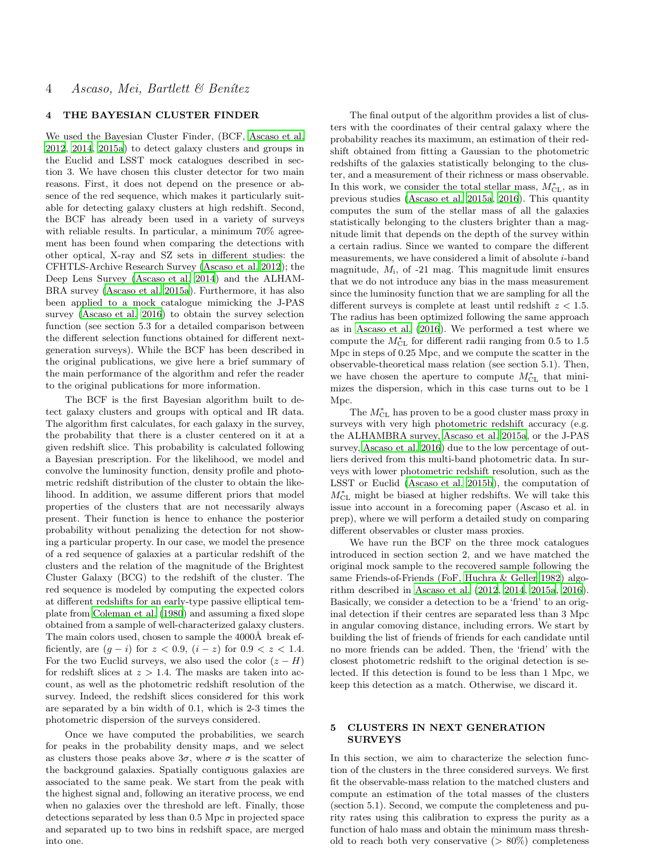# 4 THE BAYESIAN CLUSTER FINDER

We used the Bayesian Cluster Finder, (BCF, [Ascaso et al.](#page-11-13) [2012](#page-11-13), [2014](#page-11-15), [2015a](#page-11-16)) to detect galaxy clusters and groups in the Euclid and LSST mock catalogues described in section 3. We have chosen this cluster detector for two main reasons. First, it does not depend on the presence or absence of the red sequence, which makes it particularly suitable for detecting galaxy clusters at high redshift. Second, the BCF has already been used in a variety of surveys with reliable results. In particular, a minimum  $70\%$  agreement has been found when comparing the detections with other optical, X-ray and SZ sets in different studies: the CFHTLS-Archive Research Survey [\(Ascaso et al. 2012](#page-11-13)); the Deep Lens Survey [\(Ascaso et al. 2014\)](#page-11-15) and the ALHAM-BRA survey [\(Ascaso et al. 2015a](#page-11-16)). Furthermore, it has also been applied to a mock catalogue mimicking the J-PAS survey [\(Ascaso et al. 2016](#page-11-27)) to obtain the survey selection function (see section 5.3 for a detailed comparison between the different selection functions obtained for different nextgeneration surveys). While the BCF has been described in the original publications, we give here a brief summary of the main performance of the algorithm and refer the reader to the original publications for more information.

The BCF is the first Bayesian algorithm built to detect galaxy clusters and groups with optical and IR data. The algorithm first calculates, for each galaxy in the survey, the probability that there is a cluster centered on it at a given redshift slice. This probability is calculated following a Bayesian prescription. For the likelihood, we model and convolve the luminosity function, density profile and photometric redshift distribution of the cluster to obtain the likelihood. In addition, we assume different priors that model properties of the clusters that are not necessarily always present. Their function is hence to enhance the posterior probability without penalizing the detection for not showing a particular property. In our case, we model the presence of a red sequence of galaxies at a particular redshift of the clusters and the relation of the magnitude of the Brightest Cluster Galaxy (BCG) to the redshift of the cluster. The red sequence is modeled by computing the expected colors at different redshifts for an early-type passive elliptical template from [Coleman et al. \(1980](#page-11-46)) and assuming a fixed slope obtained from a sample of well-characterized galaxy clusters. The main colors used, chosen to sample the 4000Å break efficiently, are  $(g - i)$  for  $z < 0.9$ ,  $(i - z)$  for  $0.9 < z < 1.4$ . For the two Euclid surveys, we also used the color  $(z - H)$ for redshift slices at  $z > 1.4$ . The masks are taken into account, as well as the photometric redshift resolution of the survey. Indeed, the redshift slices considered for this work are separated by a bin width of 0.1, which is 2-3 times the photometric dispersion of the surveys considered.

Once we have computed the probabilities, we search for peaks in the probability density maps, and we select as clusters those peaks above  $3\sigma$ , where  $\sigma$  is the scatter of the background galaxies. Spatially contiguous galaxies are associated to the same peak. We start from the peak with the highest signal and, following an iterative process, we end when no galaxies over the threshold are left. Finally, those detections separated by less than 0.5 Mpc in projected space and separated up to two bins in redshift space, are merged into one.

The final output of the algorithm provides a list of clusters with the coordinates of their central galaxy where the probability reaches its maximum, an estimation of their redshift obtained from fitting a Gaussian to the photometric redshifts of the galaxies statistically belonging to the cluster, and a measurement of their richness or mass observable. In this work, we consider the total stellar mass,  $M_{\rm CL}^*$ , as in previous studies [\(Ascaso et al. 2015a,](#page-11-16) [2016](#page-11-27)). This quantity computes the sum of the stellar mass of all the galaxies statistically belonging to the clusters brighter than a magnitude limit that depends on the depth of the survey within a certain radius. Since we wanted to compare the different measurements, we have considered a limit of absolute i-band magnitude,  $M_i$ , of -21 mag. This magnitude limit ensures that we do not introduce any bias in the mass measurement since the luminosity function that we are sampling for all the different surveys is complete at least until redshift  $z < 1.5$ . The radius has been optimized following the same approach as in [Ascaso et al. \(2016](#page-11-27)). We performed a test where we compute the  $M_{\rm CL}^*$  for different radii ranging from 0.5 to 1.5 Mpc in steps of 0.25 Mpc, and we compute the scatter in the observable-theoretical mass relation (see section 5.1). Then, we have chosen the aperture to compute  $M_{\rm CL}^*$  that minimizes the dispersion, which in this case turns out to be 1 Mpc.

The  $M_{\rm CL}^*$  has proven to be a good cluster mass proxy in surveys with very high photometric redshift accuracy (e.g. the ALHAMBRA survey, [Ascaso et al. 2015a](#page-11-16), or the J-PAS survey, [Ascaso et al. 2016](#page-11-27)) due to the low percentage of outliers derived from this multi-band photometric data. In surveys with lower photometric redshift resolution, such as the LSST or Euclid [\(Ascaso et al. 2015b](#page-11-28)), the computation of  $M_{\rm CL}^*$  might be biased at higher redshifts. We will take this issue into account in a forecoming paper (Ascaso et al. in prep), where we will perform a detailed study on comparing different observables or cluster mass proxies.

We have run the BCF on the three mock catalogues introduced in section section 2, and we have matched the original mock sample to the recovered sample following the same Friends-of-Friends (FoF, [Huchra & Geller 1982\)](#page-11-47) algorithm described in [Ascaso et al. \(2012](#page-11-13), [2014](#page-11-15), [2015a](#page-11-16), [2016](#page-11-27)). Basically, we consider a detection to be a 'friend' to an original detection if their centres are separated less than 3 Mpc in angular comoving distance, including errors. We start by building the list of friends of friends for each candidate until no more friends can be added. Then, the 'friend' with the closest photometric redshift to the original detection is selected. If this detection is found to be less than 1 Mpc, we keep this detection as a match. Otherwise, we discard it.

### 5 CLUSTERS IN NEXT GENERATION SURVEYS

In this section, we aim to characterize the selection function of the clusters in the three considered surveys. We first fit the observable-mass relation to the matched clusters and compute an estimation of the total masses of the clusters (section 5.1). Second, we compute the completeness and purity rates using this calibration to express the purity as a function of halo mass and obtain the minimum mass threshold to reach both very conservative  $(> 80\%)$  completeness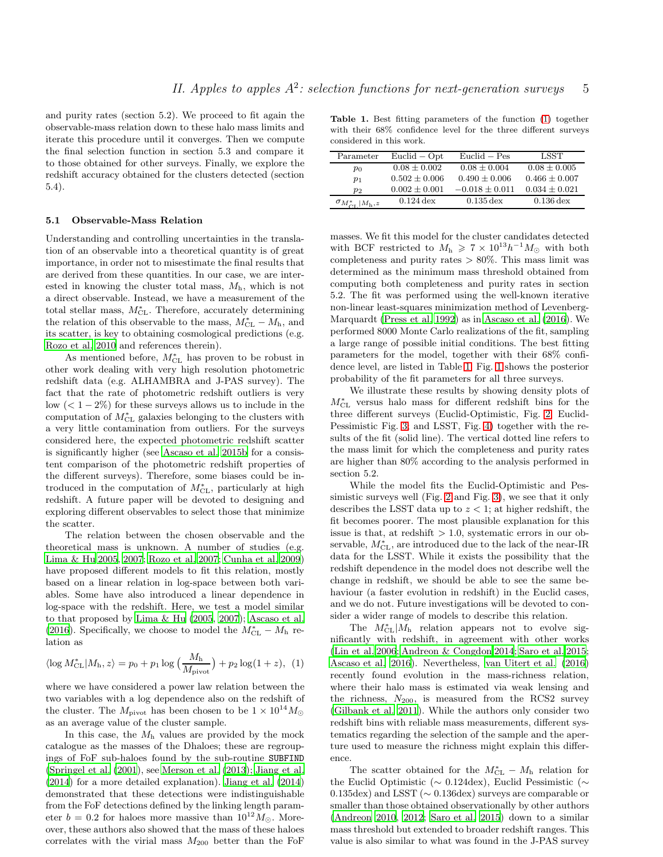and purity rates (section 5.2). We proceed to fit again the observable-mass relation down to these halo mass limits and iterate this procedure until it converges. Then we compute the final selection function in section 5.3 and compare it to those obtained for other surveys. Finally, we explore the redshift accuracy obtained for the clusters detected (section 5.4).

#### 5.1 Observable-Mass Relation

Understanding and controlling uncertainties in the translation of an observable into a theoretical quantity is of great importance, in order not to misestimate the final results that are derived from these quantities. In our case, we are interested in knowing the cluster total mass,  $M<sub>h</sub>$ , which is not a direct observable. Instead, we have a measurement of the total stellar mass,  $M_{CL}^*$ . Therefore, accurately determining the relation of this observable to the mass,  $M<sub>CL</sub><sup>*</sup> - M<sub>h</sub>$ , and its scatter, is key to obtaining cosmological predictions (e.g. [Rozo et al. 2010](#page-11-24) and references therein).

As mentioned before,  $M_{\text{CL}}^{*}$  has proven to be robust in other work dealing with very high resolution photometric redshift data (e.g. ALHAMBRA and J-PAS survey). The fact that the rate of photometric redshift outliers is very low  $(< 1-2\%)$  for these surveys allows us to include in the computation of  $M_{\rm CL}^*$  galaxies belonging to the clusters with a very little contamination from outliers. For the surveys considered here, the expected photometric redshift scatter is significantly higher (see [Ascaso et al. 2015b](#page-11-28) for a consistent comparison of the photometric redshift properties of the different surveys). Therefore, some biases could be introduced in the computation of  $M_{\text{CL}}^{*}$ , particularly at high redshift. A future paper will be devoted to designing and exploring different observables to select those that minimize the scatter.

The relation between the chosen observable and the theoretical mass is unknown. A number of studies (e.g. [Lima & Hu 2005,](#page-11-21) [2007](#page-11-48); [Rozo et al. 2007](#page-11-49); [Cunha et al. 2009](#page-11-23)) have proposed different models to fit this relation, mostly based on a linear relation in log-space between both variables. Some have also introduced a linear dependence in log-space with the redshift. Here, we test a model similar to that proposed by [Lima & Hu \(2005,](#page-11-21) [2007\)](#page-11-48); [Ascaso et al.](#page-11-27) [\(2016](#page-11-27)). Specifically, we choose to model the  $M_{\text{CL}}^* - M_{\text{h}}$  relation as

<span id="page-4-0"></span>
$$
\langle \log M_{\rm CL}^* | M_{\rm h}, z \rangle = p_0 + p_1 \log \left( \frac{M_{\rm h}}{M_{\rm pivot}} \right) + p_2 \log(1+z), \tag{1}
$$

where we have considered a power law relation between the two variables with a log dependence also on the redshift of the cluster. The  $M_{\text{pivot}}$  has been chosen to be  $1 \times 10^{14} M_{\odot}$ as an average value of the cluster sample.

In this case, the  $M<sub>h</sub>$  values are provided by the mock catalogue as the masses of the Dhaloes; these are regroupings of FoF sub-haloes found by the sub-routine SUBFIND [\(Springel et al. \(2001](#page-12-8)), see [Merson et al. \(2013](#page-11-43)); [Jiang et al.](#page-11-50) [\(2014](#page-11-50)) for a more detailed explanation). [Jiang et al. \(2014](#page-11-50)) demonstrated that these detections were indistinguishable from the FoF detections defined by the linking length parameter  $b = 0.2$  for haloes more massive than  $10^{12} M_{\odot}$ . Moreover, these authors also showed that the mass of these haloes correlates with the virial mass  $M_{200}$  better than the FoF

<span id="page-4-1"></span>Table 1. Best fitting parameters of the function [\(1\)](#page-4-0) together with their 68% confidence level for the three different surveys considered in this work.

| Parameter                                  | $Euclid - Opt$    | $Euclid - Pes$         | LSST              |
|--------------------------------------------|-------------------|------------------------|-------------------|
| $p_0$                                      | $0.08 \pm 0.002$  | $0.08 \pm 0.004$       | $0.08 \pm 0.005$  |
| $p_1$                                      | $0.502 \pm 0.006$ | $0.490 \pm 0.006$      | $0.466 \pm 0.007$ |
| $p_2$                                      | $0.002 \pm 0.001$ | $-0.018 \pm 0.011$     | $0.034 \pm 0.021$ |
| $\sigma_{M_{\rm CI}^{*}}$ $ M_{\rm h}, z $ | $0.124$ dex       | $0.135 \,\mathrm{dex}$ | $0.136$ dex       |

masses. We fit this model for the cluster candidates detected with BCF restricted to  $M_h \geq 7 \times 10^{13} h^{-1} M_{\odot}$  with both completeness and purity rates  $> 80\%$ . This mass limit was determined as the minimum mass threshold obtained from computing both completeness and purity rates in section 5.2. The fit was performed using the well-known iterative non-linear least-squares minimization method of Levenberg-Marquardt [\(Press et al. 1992](#page-11-51)) as in [Ascaso et al. \(2016\)](#page-11-27). We performed 8000 Monte Carlo realizations of the fit, sampling a large range of possible initial conditions. The best fitting parameters for the model, together with their 68% confidence level, are listed in Table [1.](#page-4-1) Fig. [1](#page-5-0) shows the posterior probability of the fit parameters for all three surveys.

We illustrate these results by showing density plots of  $M_{\rm CL}^*$  versus halo mass for different redshift bins for the three different surveys (Euclid-Optimistic, Fig. [2;](#page-6-0) Euclid-Pessimistic Fig. [3;](#page-6-1) and LSST, Fig. [4\)](#page-7-0) together with the results of the fit (solid line). The vertical dotted line refers to the mass limit for which the completeness and purity rates are higher than 80% according to the analysis performed in section 5.2.

While the model fits the Euclid-Optimistic and Pessimistic surveys well (Fig. [2](#page-6-0) and Fig. [3\)](#page-6-1), we see that it only describes the LSST data up to  $z < 1$ ; at higher redshift, the fit becomes poorer. The most plausible explanation for this issue is that, at redshift  $> 1.0$ , systematic errors in our observable,  $M_{\rm CL}^*$ , are introduced due to the lack of the near-IR data for the LSST. While it exists the possibility that the redshift dependence in the model does not describe well the change in redshift, we should be able to see the same behaviour (a faster evolution in redshift) in the Euclid cases, and we do not. Future investigations will be devoted to consider a wider range of models to describe this relation.

The  $M_{\text{CL}}^*/M_{\text{h}}$  relation appears not to evolve significantly with redshift, in agreement with other works [\(Lin et al. 2006](#page-11-52); [Andreon & Congdon 2014](#page-11-53); [Saro et al. 2015](#page-11-39); [Ascaso et al. 2016](#page-11-27)). Nevertheless, [van Uitert et al. \(2016](#page-12-6)) recently found evolution in the mass-richness relation, where their halo mass is estimated via weak lensing and the richness,  $N_{200}$ , is measured from the RCS2 survey [\(Gilbank et al. 2011](#page-11-54)). While the authors only consider two redshift bins with reliable mass measurements, different systematics regarding the selection of the sample and the aperture used to measure the richness might explain this difference.

The scatter obtained for the  $M<sub>CL</sub> - M<sub>h</sub>$  relation for the Euclid Optimistic (∼ 0.124dex), Euclid Pessimistic (∼ 0.135dex) and LSST (∼ 0.136dex) surveys are comparable or smaller than those obtained observationally by other authors [\(Andreon 2010,](#page-11-37) [2012](#page-11-38); [Saro et al. 2015](#page-11-39)) down to a similar mass threshold but extended to broader redshift ranges. This value is also similar to what was found in the J-PAS survey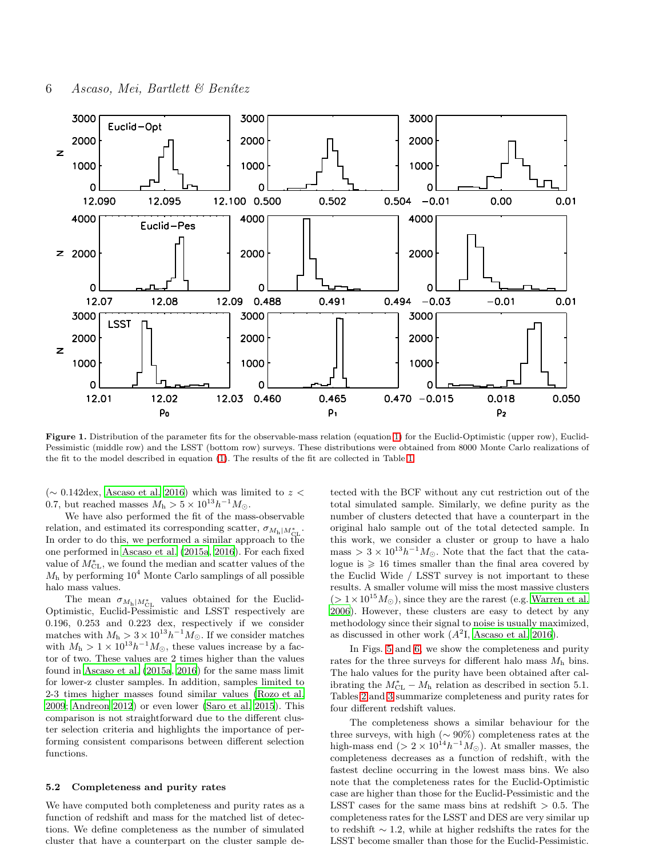

<span id="page-5-0"></span>Figure 1. Distribution of the parameter fits for the observable-mass relation (equation [1\)](#page-4-0) for the Euclid-Optimistic (upper row), Euclid-Pessimistic (middle row) and the LSST (bottom row) surveys. These distributions were obtained from 8000 Monte Carlo realizations of the fit to the model described in equation [\(1\)](#page-4-0). The results of the fit are collected in Table [1.](#page-4-1)

(∼ 0.142dex, [Ascaso et al. 2016](#page-11-27)) which was limited to z < 0.7, but reached masses  $M_h > 5 \times 10^{13} h^{-1} M_{\odot}$ .

We have also performed the fit of the mass-observable relation, and estimated its corresponding scatter,  $\sigma_{M_{\rm h}|M_{\rm CL}^*}$ . In order to do this, we performed a similar approach to the one performed in [Ascaso et al. \(2015a](#page-11-16), [2016](#page-11-27)). For each fixed value of  $M_{\rm CL}^*$ , we found the median and scatter values of the  $M<sub>h</sub>$  by performing  $10<sup>4</sup>$  Monte Carlo samplings of all possible halo mass values.

The mean  $\sigma_{M_{\rm h}|M_{\rm CL}^*}$  values obtained for the Euclid-Optimistic, Euclid-Pessimistic and LSST respectively are 0.196, 0.253 and 0.223 dex, respectively if we consider matches with  $M_h > 3 \times 10^{13} h^{-1} M_{\odot}$ . If we consider matches with  $M_h > 1 \times 10^{13} h^{-1} M_{\odot}$ , these values increase by a factor of two. These values are 2 times higher than the values found in [Ascaso et al. \(2015a](#page-11-16), [2016\)](#page-11-27) for the same mass limit for lower-z cluster samples. In addition, samples limited to 2-3 times higher masses found similar values [\(Rozo et al.](#page-11-36) [2009](#page-11-36); [Andreon 2012\)](#page-11-38) or even lower [\(Saro et al. 2015\)](#page-11-39). This comparison is not straightforward due to the different cluster selection criteria and highlights the importance of performing consistent comparisons between different selection functions.

### 5.2 Completeness and purity rates

We have computed both completeness and purity rates as a function of redshift and mass for the matched list of detections. We define completeness as the number of simulated cluster that have a counterpart on the cluster sample de-

tected with the BCF without any cut restriction out of the total simulated sample. Similarly, we define purity as the number of clusters detected that have a counterpart in the original halo sample out of the total detected sample. In this work, we consider a cluster or group to have a halo mass >  $3 \times 10^{13} h^{-1} M_{\odot}$ . Note that the fact that the catalogue is  $\geq 16$  times smaller than the final area covered by the Euclid Wide / LSST survey is not important to these results. A smaller volume will miss the most massive clusters  $(>1\times10^{15}M_{\odot}),$  since they are the rarest (e.g. [Warren et al.](#page-12-9) [2006](#page-12-9)). However, these clusters are easy to detect by any methodology since their signal to noise is usually maximized, as discussed in other work  $(A^2I, Ascaso et al. 2016)$  $(A^2I, Ascaso et al. 2016)$  $(A^2I, Ascaso et al. 2016)$ .

In Figs. [5](#page-7-1) and [6,](#page-8-0) we show the completeness and purity rates for the three surveys for different halo mass  $M<sub>h</sub>$  bins. The halo values for the purity have been obtained after calibrating the  $M<sub>CL</sub><sup>*</sup> - M<sub>h</sub>$  relation as described in section 5.1. Tables [2](#page-6-2) and [3](#page-6-3) summarize completeness and purity rates for four different redshift values.

The completeness shows a similar behaviour for the three surveys, with high ( $\sim 90\%$ ) completeness rates at the high-mass end (>  $2 \times 10^{14} h^{-1} M_{\odot}$ ). At smaller masses, the completeness decreases as a function of redshift, with the fastest decline occurring in the lowest mass bins. We also note that the completeness rates for the Euclid-Optimistic case are higher than those for the Euclid-Pessimistic and the LSST cases for the same mass bins at redshift  $> 0.5$ . The completeness rates for the LSST and DES are very similar up to redshift ∼ 1.2, while at higher redshifts the rates for the LSST become smaller than those for the Euclid-Pessimistic.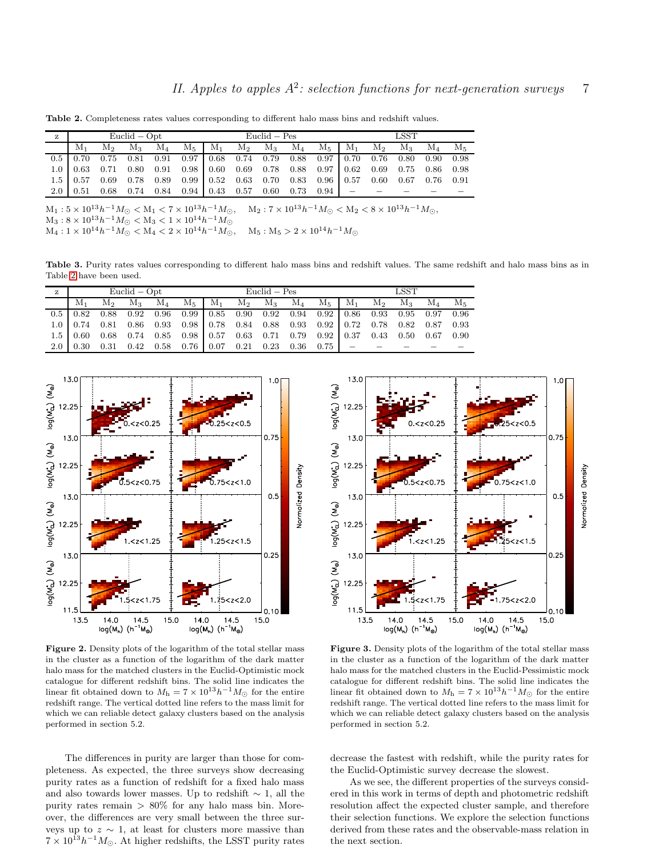<span id="page-6-2"></span>Table 2. Completeness rates values corresponding to different halo mass bins and redshift values.

| z | $Euclid - Opt$ |                |         |           |                                                                                                                           | Euclid – Pes |             |  |  |  | <b>LSST</b>                                  |                |              |               |  |  |  |
|---|----------------|----------------|---------|-----------|---------------------------------------------------------------------------------------------------------------------------|--------------|-------------|--|--|--|----------------------------------------------|----------------|--------------|---------------|--|--|--|
|   | M1             | M <sub>2</sub> | $M_{3}$ | $\rm M_4$ | M <sub>5</sub>                                                                                                            | $M_1$        | $M_2$ $M_3$ |  |  |  | $\mathrm{M}_4$ $\mathrm{M}_5$ $\mathrm{M}_1$ | M <sub>2</sub> | $\rm{M}_{3}$ | $\rm M_4-M_5$ |  |  |  |
|   |                |                |         |           | $0.5\begin{array}{cccccc} 0.70 & 0.75 & 0.81 & 0.91 & 0.97 \end{array}$ 0.68 0.74 0.79 0.88 0.97 0.70 0.76 0.80 0.90 0.98 |              |             |  |  |  |                                              |                |              |               |  |  |  |
|   |                |                |         |           | $1.0$   0.63 0.71 0.80 0.91 0.98   0.60 0.69 0.78 0.88 0.97   0.62 0.69 0.75 0.86 0.98                                    |              |             |  |  |  |                                              |                |              |               |  |  |  |
|   |                |                |         |           | $1.5$   0.57 0.69 0.78 0.89 0.99   0.52 0.63 0.70 0.83 0.96   0.57 0.60 0.67 0.76 0.91                                    |              |             |  |  |  |                                              |                |              |               |  |  |  |
|   |                |                |         |           | $2.0$ 0.51 0.68 0.74 0.84 0.94 0.43 0.57 0.60 0.73 0.94 -                                                                 |              |             |  |  |  |                                              |                |              |               |  |  |  |
|   |                |                |         |           |                                                                                                                           |              |             |  |  |  |                                              |                |              |               |  |  |  |

 $\mathrm{M}_1: 5 \times 10^{13} h^{-1} M_{\odot} < \mathrm{M}_1 < 7 \times 10^{13} h^{-1} M_{\odot}, \quad \mathrm{M}_2: 7 \times 10^{13} h^{-1} M_{\odot} < \mathrm{M}_2 < 8 \times 10^{13} h^{-1} M_{\odot},$  $M_3: 8 \times 10^{13} h^{-1} M_{\odot} < M_3 < 1 \times 10^{14} h^{-1} M_{\odot}$  $\mathrm{M}_4:1\times10^{14}h^{-1}M_\odot<\mathrm{M}_4<2\times10^{14}h^{-1}M_\odot, \quad \mathrm{M}_5:\mathrm{M}_5>2\times10^{14}h^{-1}M_\odot$ 

<span id="page-6-3"></span>Table 3. Purity rates values corresponding to different halo mass bins and redshift values. The same redshift and halo mass bins as in Table [2](#page-6-2) have been used.

| z | $Euclid - Opt$ |  |  |  |                                                                                                                                                        | Euclid – Pes |  |  |  |  | LSST |  |  |  |  |  |
|---|----------------|--|--|--|--------------------------------------------------------------------------------------------------------------------------------------------------------|--------------|--|--|--|--|------|--|--|--|--|--|
|   | $M_1$          |  |  |  | $M_2$ $M_3$ $M_4$ $M_5$   $M_1$ $M_2$ $M_3$ $M_4$ $M_5$   $M_1$ $M_2$ $M_3$ $M_4$ $M_5$                                                                |              |  |  |  |  |      |  |  |  |  |  |
|   |                |  |  |  | $0.5\begin{array}{cccccc} 0.82 & 0.88 & 0.92 & 0.96 & 0.99 \end{array}$ $0.85$ 0.90 0.92 0.94 0.92 0.96 0.93 0.95 0.97 0.96                            |              |  |  |  |  |      |  |  |  |  |  |
|   |                |  |  |  | $1.0$   $0.74$ $0.81$ $0.86$ $0.93$ $0.98$   $0.78$ $0.84$ $0.88$ $0.93$ $0.92$   $0.72$ $0.78$ $0.82$ $0.87$ $0.93$                                   |              |  |  |  |  |      |  |  |  |  |  |
|   |                |  |  |  | $1.5\begin{array}{ccccccccc} 1.5 & 0.60 & 0.68 & 0.74 & 0.85 & 0.98 & 0.57 & 0.63 & 0.71 & 0.79 & 0.92 & 0.37 & 0.43 & 0.50 & 0.67 & 0.90 \end{array}$ |              |  |  |  |  |      |  |  |  |  |  |
|   |                |  |  |  | $2.0$   0.30 0.31 0.42 0.58 0.76 0.07 0.21 0.23 0.36 0.75 =                                                                                            |              |  |  |  |  |      |  |  |  |  |  |



<span id="page-6-0"></span>Figure 2. Density plots of the logarithm of the total stellar mass in the cluster as a function of the logarithm of the dark matter halo mass for the matched clusters in the Euclid-Optimistic mock catalogue for different redshift bins. The solid line indicates the linear fit obtained down to  $M_h = 7 \times 10^{13} h^{-1} M_{\odot}$  for the entire redshift range. The vertical dotted line refers to the mass limit for which we can reliable detect galaxy clusters based on the analysis performed in section 5.2.

The differences in purity are larger than those for completeness. As expected, the three surveys show decreasing purity rates as a function of redshift for a fixed halo mass and also towards lower masses. Up to redshift  $\sim$  1, all the purity rates remain  $> 80\%$  for any halo mass bin. Moreover, the differences are very small between the three surveys up to  $z \sim 1$ , at least for clusters more massive than  $7 \times 10^{13} h^{-1} M_{\odot}$ . At higher redshifts, the LSST purity rates



<span id="page-6-1"></span>Figure 3. Density plots of the logarithm of the total stellar mass in the cluster as a function of the logarithm of the dark matter halo mass for the matched clusters in the Euclid-Pessimistic mock catalogue for different redshift bins. The solid line indicates the linear fit obtained down to  $M_h = 7 \times 10^{13} h^{-1} M_{\odot}$  for the entire redshift range. The vertical dotted line refers to the mass limit for which we can reliable detect galaxy clusters based on the analysis performed in section 5.2.

decrease the fastest with redshift, while the purity rates for the Euclid-Optimistic survey decrease the slowest.

As we see, the different properties of the surveys considered in this work in terms of depth and photometric redshift resolution affect the expected cluster sample, and therefore their selection functions. We explore the selection functions derived from these rates and the observable-mass relation in the next section.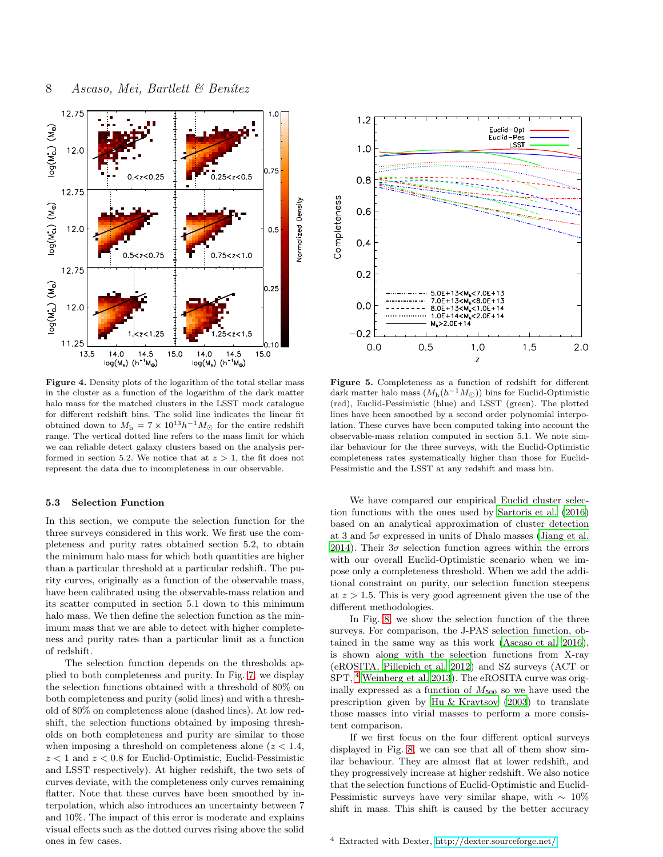

<span id="page-7-0"></span>Figure 4. Density plots of the logarithm of the total stellar mass in the cluster as a function of the logarithm of the dark matter halo mass for the matched clusters in the LSST mock catalogue for different redshift bins. The solid line indicates the linear fit obtained down to  $M_h = 7 \times 10^{13} h^{-1} M_{\odot}$  for the entire redshift range. The vertical dotted line refers to the mass limit for which we can reliable detect galaxy clusters based on the analysis performed in section 5.2. We notice that at  $z > 1$ , the fit does not represent the data due to incompleteness in our observable.

#### 5.3 Selection Function

In this section, we compute the selection function for the three surveys considered in this work. We first use the completeness and purity rates obtained section 5.2, to obtain the minimum halo mass for which both quantities are higher than a particular threshold at a particular redshift. The purity curves, originally as a function of the observable mass, have been calibrated using the observable-mass relation and its scatter computed in section 5.1 down to this minimum halo mass. We then define the selection function as the minimum mass that we are able to detect with higher completeness and purity rates than a particular limit as a function of redshift.

The selection function depends on the thresholds applied to both completeness and purity. In Fig. [7,](#page-8-1) we display the selection functions obtained with a threshold of 80% on both completeness and purity (solid lines) and with a threshold of 80% on completeness alone (dashed lines). At low redshift, the selection functions obtained by imposing thresholds on both completeness and purity are similar to those when imposing a threshold on completeness alone  $(z < 1.4,$  $z < 1$  and  $z < 0.8$  for Euclid-Optimistic, Euclid-Pessimistic and LSST respectively). At higher redshift, the two sets of curves deviate, with the completeness only curves remaining flatter. Note that these curves have been smoothed by interpolation, which also introduces an uncertainty between 7 and 10%. The impact of this error is moderate and explains visual effects such as the dotted curves rising above the solid ones in few cases.



<span id="page-7-1"></span>Figure 5. Completeness as a function of redshift for different dark matter halo mass  $(M_h(h^{-1}M_{\odot}))$  bins for Euclid-Optimistic (red), Euclid-Pessimistic (blue) and LSST (green). The plotted lines have been smoothed by a second order polynomial interpolation. These curves have been computed taking into account the observable-mass relation computed in section 5.1. We note similar behaviour for the three surveys, with the Euclid-Optimistic completeness rates systematically higher than those for Euclid-Pessimistic and the LSST at any redshift and mass bin.

We have compared our empirical Euclid cluster selection functions with the ones used by [Sartoris et al. \(2016](#page-11-26)) based on an analytical approximation of cluster detection at 3 and  $5\sigma$  expressed in units of Dhalo masses [\(Jiang et al.](#page-11-50) [2014](#page-11-50)). Their  $3\sigma$  selection function agrees within the errors with our overall Euclid-Optimistic scenario when we impose only a completeness threshold. When we add the additional constraint on purity, our selection function steepens at  $z > 1.5$ . This is very good agreement given the use of the different methodologies.

In Fig. [8,](#page-9-0) we show the selection function of the three surveys. For comparison, the J-PAS selection function, obtained in the same way as this work [\(Ascaso et al. 2016](#page-11-27)), is shown along with the selection functions from X-ray (eROSITA, [Pillepich et al. 2012](#page-11-55)) and SZ surveys (ACT or SPT, [4](#page-7-2) [Weinberg et al. 2013\)](#page-12-4). The eROSITA curve was originally expressed as a function of  $M_{500}$  so we have used the prescription given by [Hu & Kravtsov \(2003](#page-11-56)) to translate those masses into virial masses to perform a more consistent comparison.

If we first focus on the four different optical surveys displayed in Fig. [8,](#page-9-0) we can see that all of them show similar behaviour. They are almost flat at lower redshift, and they progressively increase at higher redshift. We also notice that the selection functions of Euclid-Optimistic and Euclid-Pessimistic surveys have very similar shape, with  $\sim 10\%$ shift in mass. This shift is caused by the better accuracy

<span id="page-7-2"></span><sup>4</sup> Extracted with Dexter,<http://dexter.sourceforge.net/>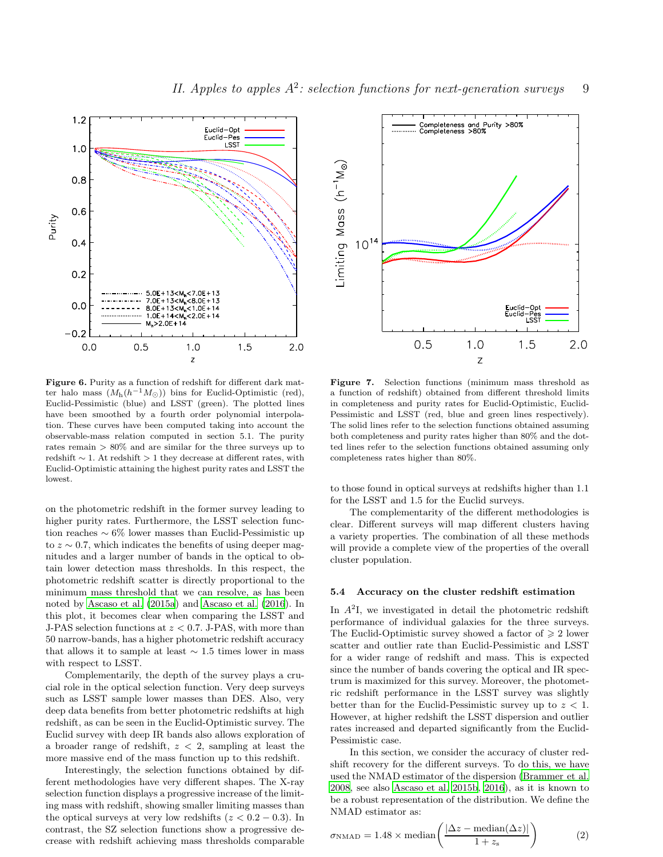

<span id="page-8-0"></span>Figure 6. Purity as a function of redshift for different dark matter halo mass  $(M_h(h^{-1}M_{\odot}))$  bins for Euclid-Optimistic (red), Euclid-Pessimistic (blue) and LSST (green). The plotted lines have been smoothed by a fourth order polynomial interpolation. These curves have been computed taking into account the observable-mass relation computed in section 5.1. The purity rates remain > 80% and are similar for the three surveys up to redshift  $\sim$  1. At redshift  $> 1$  they decrease at different rates, with Euclid-Optimistic attaining the highest purity rates and LSST the lowest.

on the photometric redshift in the former survey leading to higher purity rates. Furthermore, the LSST selection function reaches ∼ 6% lower masses than Euclid-Pessimistic up to  $z \sim 0.7$ , which indicates the benefits of using deeper magnitudes and a larger number of bands in the optical to obtain lower detection mass thresholds. In this respect, the photometric redshift scatter is directly proportional to the minimum mass threshold that we can resolve, as has been noted by [Ascaso et al. \(2015a\)](#page-11-16) and [Ascaso et al. \(2016](#page-11-27)). In this plot, it becomes clear when comparing the LSST and J-PAS selection functions at  $z < 0.7$ . J-PAS, with more than 50 narrow-bands, has a higher photometric redshift accuracy that allows it to sample at least  $\sim$  1.5 times lower in mass with respect to LSST.

Complementarily, the depth of the survey plays a crucial role in the optical selection function. Very deep surveys such as LSST sample lower masses than DES. Also, very deep data benefits from better photometric redshifts at high redshift, as can be seen in the Euclid-Optimistic survey. The Euclid survey with deep IR bands also allows exploration of a broader range of redshift,  $z < 2$ , sampling at least the more massive end of the mass function up to this redshift.

Interestingly, the selection functions obtained by different methodologies have very different shapes. The X-ray selection function displays a progressive increase of the limiting mass with redshift, showing smaller limiting masses than the optical surveys at very low redshifts  $(z < 0.2 - 0.3)$ . In contrast, the SZ selection functions show a progressive decrease with redshift achieving mass thresholds comparable



<span id="page-8-1"></span>Figure 7. Selection functions (minimum mass threshold as a function of redshift) obtained from different threshold limits in completeness and purity rates for Euclid-Optimistic, Euclid-Pessimistic and LSST (red, blue and green lines respectively). The solid lines refer to the selection functions obtained assuming both completeness and purity rates higher than 80% and the dotted lines refer to the selection functions obtained assuming only completeness rates higher than 80%.

to those found in optical surveys at redshifts higher than 1.1 for the LSST and 1.5 for the Euclid surveys.

The complementarity of the different methodologies is clear. Different surveys will map different clusters having a variety properties. The combination of all these methods will provide a complete view of the properties of the overall cluster population.

#### 5.4 Accuracy on the cluster redshift estimation

In  $A<sup>2</sup>I$ , we investigated in detail the photometric redshift performance of individual galaxies for the three surveys. The Euclid-Optimistic survey showed a factor of  $\geq 2$  lower scatter and outlier rate than Euclid-Pessimistic and LSST for a wider range of redshift and mass. This is expected since the number of bands covering the optical and IR spectrum is maximized for this survey. Moreover, the photometric redshift performance in the LSST survey was slightly better than for the Euclid-Pessimistic survey up to  $z < 1$ . However, at higher redshift the LSST dispersion and outlier rates increased and departed significantly from the Euclid-Pessimistic case.

In this section, we consider the accuracy of cluster redshift recovery for the different surveys. To do this, we have used the NMAD estimator of the dispersion [\(Brammer et al.](#page-11-57) [2008](#page-11-57), see also [Ascaso et al. 2015b](#page-11-28), [2016](#page-11-27)), as it is known to be a robust representation of the distribution. We define the NMAD estimator as:

$$
\sigma_{\text{NMAD}} = 1.48 \times \text{median}\left(\frac{|\Delta z - \text{median}(\Delta z)|}{1 + z_{\text{s}}}\right) \tag{2}
$$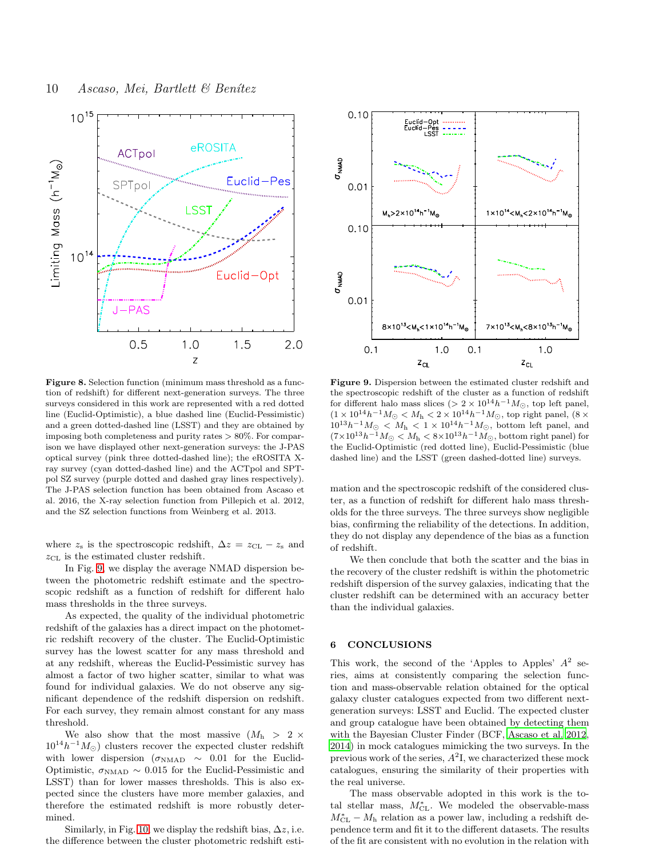

<span id="page-9-0"></span>Figure 8. Selection function (minimum mass threshold as a function of redshift) for different next-generation surveys. The three surveys considered in this work are represented with a red dotted line (Euclid-Optimistic), a blue dashed line (Euclid-Pessimistic) and a green dotted-dashed line (LSST) and they are obtained by imposing both completeness and purity rates  $> 80\%$ . For comparison we have displayed other next-generation surveys: the J-PAS optical survey (pink three dotted-dashed line); the eROSITA Xray survey (cyan dotted-dashed line) and the ACTpol and SPTpol SZ survey (purple dotted and dashed gray lines respectively). The J-PAS selection function has been obtained from Ascaso et al. 2016, the X-ray selection function from Pillepich et al. 2012, and the SZ selection functions from Weinberg et al. 2013.

where  $z_s$  is the spectroscopic redshift,  $\Delta z = z_{\text{CL}} - z_s$  and  $z_{\text{CL}}$  is the estimated cluster redshift.

In Fig. [9,](#page-9-1) we display the average NMAD dispersion between the photometric redshift estimate and the spectroscopic redshift as a function of redshift for different halo mass thresholds in the three surveys.

As expected, the quality of the individual photometric redshift of the galaxies has a direct impact on the photometric redshift recovery of the cluster. The Euclid-Optimistic survey has the lowest scatter for any mass threshold and at any redshift, whereas the Euclid-Pessimistic survey has almost a factor of two higher scatter, similar to what was found for individual galaxies. We do not observe any significant dependence of the redshift dispersion on redshift. For each survey, they remain almost constant for any mass threshold.

We also show that the most massive  $(M_h > 2 \times$  $10^{14}h^{-1}M_{\odot}$  clusters recover the expected cluster redshift with lower dispersion ( $\sigma_{\text{NMAD}} \sim 0.01$  for the Euclid-Optimistic,  $\sigma_{NMAD} \sim 0.015$  for the Euclid-Pessimistic and LSST) than for lower masses thresholds. This is also expected since the clusters have more member galaxies, and therefore the estimated redshift is more robustly determined.

Similarly, in Fig. [10,](#page-10-0) we display the redshift bias,  $\Delta z$ , i.e. the difference between the cluster photometric redshift esti-



<span id="page-9-1"></span>Figure 9. Dispersion between the estimated cluster redshift and the spectroscopic redshift of the cluster as a function of redshift for different halo mass slices (> 2 × 10<sup>14</sup>h<sup>-1</sup> $M_{\odot}$ , top left panel,  $(1 \times 10^{14} h^{-1} M_{\odot} < M_{\rm h} < 2 \times 10^{14} h^{-1} M_{\odot}$ , top right panel,  $(8 \times$  $10^{13}h^{-1}M_{\odot} < M_{\rm h} < 1 \times 10^{14}h^{-1}M_{\odot}$ , bottom left panel, and  $(7\times10^{13}h^{-1}M_{\odot} < M_{\rm h} < 8\times10^{13}h^{-1}M_{\odot}$ , bottom right panel) for the Euclid-Optimistic (red dotted line), Euclid-Pessimistic (blue dashed line) and the LSST (green dashed-dotted line) surveys.

mation and the spectroscopic redshift of the considered cluster, as a function of redshift for different halo mass thresholds for the three surveys. The three surveys show negligible bias, confirming the reliability of the detections. In addition, they do not display any dependence of the bias as a function of redshift.

We then conclude that both the scatter and the bias in the recovery of the cluster redshift is within the photometric redshift dispersion of the survey galaxies, indicating that the cluster redshift can be determined with an accuracy better than the individual galaxies.

#### 6 CONCLUSIONS

This work, the second of the 'Apples to Apples'  $A^2$  series, aims at consistently comparing the selection function and mass-observable relation obtained for the optical galaxy cluster catalogues expected from two different nextgeneration surveys: LSST and Euclid. The expected cluster and group catalogue have been obtained by detecting them with the Bayesian Cluster Finder (BCF, [Ascaso et al. 2012](#page-11-13), [2014](#page-11-15)) in mock catalogues mimicking the two surveys. In the previous work of the series,  $A^2$ I, we characterized these mock catalogues, ensuring the similarity of their properties with the real universe.

The mass observable adopted in this work is the total stellar mass,  $M_{\text{CL}}^{*}$ . We modeled the observable-mass  $M_{\text{CL}}^{*} - M_{\text{h}}$  relation as a power law, including a redshift dependence term and fit it to the different datasets. The results of the fit are consistent with no evolution in the relation with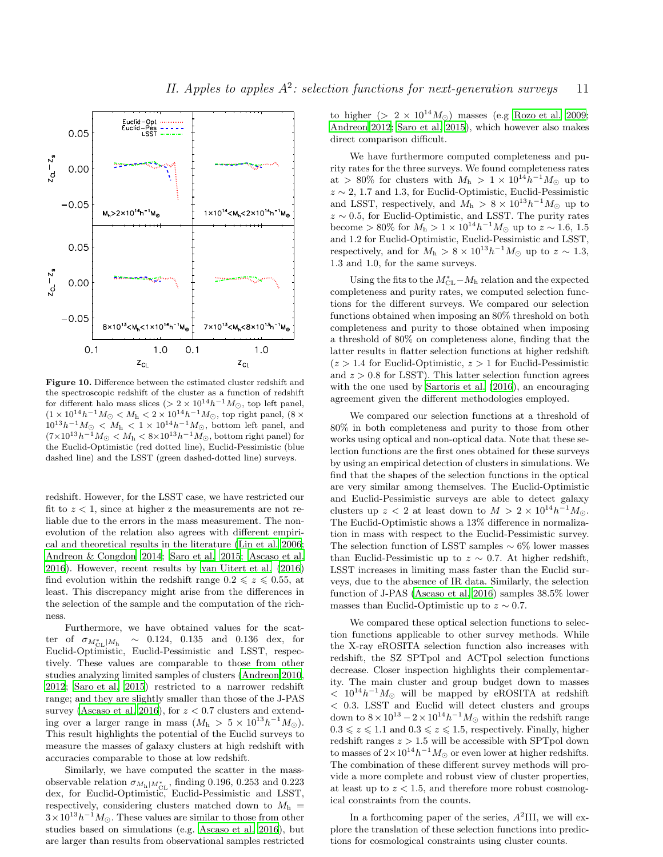

<span id="page-10-0"></span>Figure 10. Difference between the estimated cluster redshift and the spectroscopic redshift of the cluster as a function of redshift for different halo mass slices (> 2 ×  $10^{14}h^{-1}M_{\odot}$ , top left panel,  $(1 \times 10^{14} h^{-1} M_{\odot} < M_{\rm h} < 2 \times 10^{14} h^{-1} M_{\odot}$ , top right panel,  $(8 \times$  $10^{13}h^{-1}M_{\odot}$  <  $M_{\rm h}$  < 1 × 10<sup>14</sup> $h^{-1}M_{\odot}$ , bottom left panel, and  $(7\times10^{13}h^{-1}M_{\odot} < M_{\rm h} < 8\times10^{13}h^{-1}M_{\odot}$ , bottom right panel) for the Euclid-Optimistic (red dotted line), Euclid-Pessimistic (blue dashed line) and the LSST (green dashed-dotted line) surveys.

redshift. However, for the LSST case, we have restricted our fit to  $z < 1$ , since at higher z the measurements are not reliable due to the errors in the mass measurement. The nonevolution of the relation also agrees with different empirical and theoretical results in the literature [\(Lin et al. 2006;](#page-11-52) [Andreon & Congdon 2014](#page-11-53); [Saro et al. 2015](#page-11-39); [Ascaso et al.](#page-11-27) [2016](#page-11-27)). However, recent results by [van Uitert et al. \(2016](#page-12-6)) find evolution within the redshift range  $0.2 \leq z \leq 0.55$ , at least. This discrepancy might arise from the differences in the selection of the sample and the computation of the richness.

Furthermore, we have obtained values for the scatter of  $\sigma_{M_{\rm CL}^*/M_{\rm h}}$  $\sim$  0.124, 0.135 and 0.136 dex, for Euclid-Optimistic, Euclid-Pessimistic and LSST, respectively. These values are comparable to those from other studies analyzing limited samples of clusters [\(Andreon 2010,](#page-11-37) [2012](#page-11-38); [Saro et al. 2015\)](#page-11-39) restricted to a narrower redshift range; and they are slightly smaller than those of the J-PAS survey [\(Ascaso et al. 2016](#page-11-27)), for  $z < 0.7$  clusters and extending over a larger range in mass  $(M_h > 5 \times 10^{13} h^{-1} M_{\odot}).$ This result highlights the potential of the Euclid surveys to measure the masses of galaxy clusters at high redshift with accuracies comparable to those at low redshift.

Similarly, we have computed the scatter in the massobservable relation  $\sigma_{M_{\rm h}|M_{\rm CL}^*}$ , finding 0.196, 0.253 and 0.223 dex, for Euclid-Optimistic, Euclid-Pessimistic and LSST, respectively, considering clusters matched down to  $M<sub>h</sub>$  =  $3 \times 10^{13} h^{-1} M_{\odot}$ . These values are similar to those from other studies based on simulations (e.g. [Ascaso et al. 2016](#page-11-27)), but are larger than results from observational samples restricted to higher (>  $2 \times 10^{14} M_{\odot}$ ) masses (e.g [Rozo et al. 2009](#page-11-36); [Andreon 2012](#page-11-38); [Saro et al. 2015\)](#page-11-39), which however also makes direct comparison difficult.

We have furthermore computed completeness and purity rates for the three surveys. We found completeness rates at > 80% for clusters with  $M_h > 1 \times 10^{14} h^{-1} M_{\odot}$  up to  $z \sim 2$ , 1.7 and 1.3, for Euclid-Optimistic, Euclid-Pessimistic and LSST, respectively, and  $M_h > 8 \times 10^{13} h^{-1} M_{\odot}$  up to  $z \sim 0.5$ , for Euclid-Optimistic, and LSST. The purity rates become > 80% for  $M_h > 1 \times 10^{14} h^{-1} M_{\odot}$  up to  $z \sim 1.6, 1.5$ and 1.2 for Euclid-Optimistic, Euclid-Pessimistic and LSST, respectively, and for  $M_h > 8 \times 10^{13} h^{-1} M_{\odot}$  up to  $z \sim 1.3$ , 1.3 and 1.0, for the same surveys.

Using the fits to the  $M<sup>*</sup><sub>CL</sub> - M<sub>h</sub>$  relation and the expected completeness and purity rates, we computed selection functions for the different surveys. We compared our selection functions obtained when imposing an 80% threshold on both completeness and purity to those obtained when imposing a threshold of 80% on completeness alone, finding that the latter results in flatter selection functions at higher redshift  $(z > 1.4$  for Euclid-Optimistic,  $z > 1$  for Euclid-Pessimistic and  $z > 0.8$  for LSST). This latter selection function agrees with the one used by [Sartoris et al. \(2016\)](#page-11-26), an encouraging agreement given the different methodologies employed.

We compared our selection functions at a threshold of 80% in both completeness and purity to those from other works using optical and non-optical data. Note that these selection functions are the first ones obtained for these surveys by using an empirical detection of clusters in simulations. We find that the shapes of the selection functions in the optical are very similar among themselves. The Euclid-Optimistic and Euclid-Pessimistic surveys are able to detect galaxy clusters up  $z < 2$  at least down to  $M > 2 \times 10^{14} h^{-1} M_{\odot}$ . The Euclid-Optimistic shows a 13% difference in normalization in mass with respect to the Euclid-Pessimistic survey. The selection function of LSST samples  $\sim 6\%$  lower masses than Euclid-Pessimistic up to  $z \sim 0.7$ . At higher redshift, LSST increases in limiting mass faster than the Euclid surveys, due to the absence of IR data. Similarly, the selection function of J-PAS [\(Ascaso et al. 2016](#page-11-27)) samples 38.5% lower masses than Euclid-Optimistic up to  $z \sim 0.7$ .

We compared these optical selection functions to selection functions applicable to other survey methods. While the X-ray eROSITA selection function also increases with redshift, the SZ SPTpol and ACTpol selection functions decrease. Closer inspection highlights their complementarity. The main cluster and group budget down to masses  $< 10^{14} h^{-1} M_{\odot}$  will be mapped by eROSITA at redshift < 0.3. LSST and Euclid will detect clusters and groups down to  $8 \times 10^{13} - 2 \times 10^{14} h^{-1} M_{\odot}$  within the redshift range  $0.3 \leq z \leq 1.1$  and  $0.3 \leq z \leq 1.5$ , respectively. Finally, higher redshift ranges  $z > 1.5$  will be accessible with SPTpol down to masses of  $2 \times 10^{14} h^{-1} M_{\odot}$  or even lower at higher redshifts. The combination of these different survey methods will provide a more complete and robust view of cluster properties, at least up to  $z < 1.5$ , and therefore more robust cosmological constraints from the counts.

In a forthcoming paper of the series,  $A^2$ III, we will explore the translation of these selection functions into predictions for cosmological constraints using cluster counts.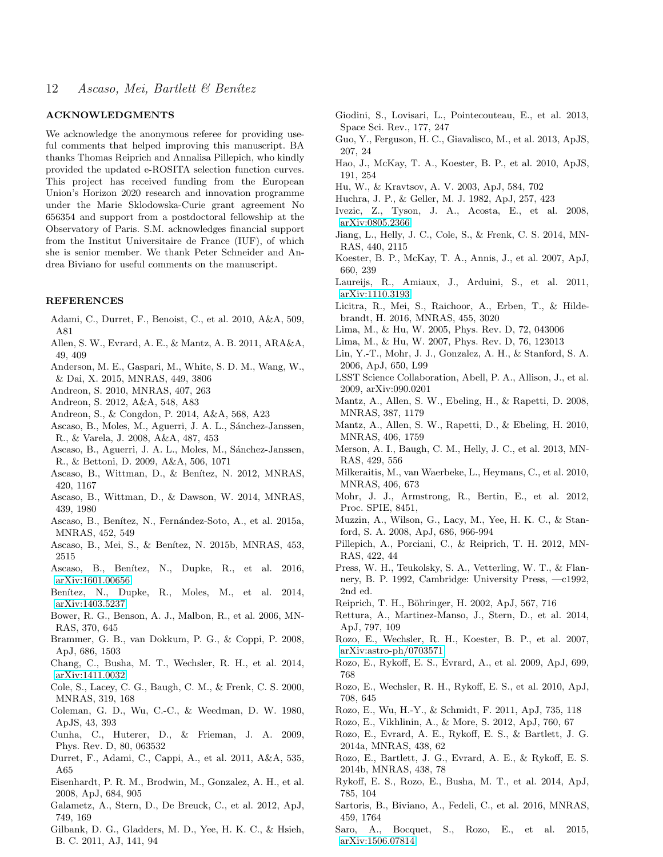# ACKNOWLEDGMENTS

We acknowledge the anonymous referee for providing useful comments that helped improving this manuscript. BA thanks Thomas Reiprich and Annalisa Pillepich, who kindly provided the updated e-ROSITA selection function curves. This project has received funding from the European Union's Horizon 2020 research and innovation programme under the Marie Sklodowska-Curie grant agreement No 656354 and support from a postdoctoral fellowship at the Observatory of Paris. S.M. acknowledges financial support from the Institut Universitaire de France (IUF), of which she is senior member. We thank Peter Schneider and Andrea Biviano for useful comments on the manuscript.

#### REFERENCES

- <span id="page-11-10"></span>Adami, C., Durret, F., Benoist, C., et al. 2010, A&A, 509, A81
- <span id="page-11-4"></span>Allen, S. W., Evrard, A. E., & Mantz, A. B. 2011, ARA&A, 49, 409
- <span id="page-11-35"></span>Anderson, M. E., Gaspari, M., White, S. D. M., Wang, W., & Dai, X. 2015, MNRAS, 449, 3806
- <span id="page-11-37"></span>Andreon, S. 2010, MNRAS, 407, 263
- <span id="page-11-38"></span>Andreon, S. 2012, A&A, 548, A83
- <span id="page-11-53"></span>Andreon, S., & Congdon, P. 2014, A&A, 568, A23
- <span id="page-11-5"></span>Ascaso, B., Moles, M., Aguerri, J. A. L., Sánchez-Janssen, R., & Varela, J. 2008, A&A, 487, 453
- <span id="page-11-6"></span>Ascaso, B., Aguerri, J. A. L., Moles, M., Sánchez-Janssen, R., & Bettoni, D. 2009, A&A, 506, 1071
- <span id="page-11-13"></span>Ascaso, B., Wittman, D., & Benítez, N. 2012, MNRAS, 420, 1167
- <span id="page-11-15"></span>Ascaso, B., Wittman, D., & Dawson, W. 2014, MNRAS, 439, 1980
- <span id="page-11-16"></span>Ascaso, B., Benítez, N., Fernández-Soto, A., et al. 2015a, MNRAS, 452, 549
- <span id="page-11-28"></span>Ascaso, B., Mei, S., & Benítez, N. 2015b, MNRAS, 453, 2515
- <span id="page-11-27"></span>Ascaso, B., Benítez, N., Dupke, R., et al. 2016, [arXiv:1601.00656](http://arxiv.org/abs/1601.00656)
- <span id="page-11-0"></span>Benítez, N., Dupke, R., Moles, M., et al. 2014, [arXiv:1403.5237](http://arxiv.org/abs/1403.5237)
- <span id="page-11-45"></span>Bower, R. G., Benson, A. J., Malbon, R., et al. 2006, MN-RAS, 370, 645
- <span id="page-11-57"></span>Brammer, G. B., van Dokkum, P. G., & Coppi, P. 2008, ApJ, 686, 1503
- <span id="page-11-42"></span>Chang, C., Busha, M. T., Wechsler, R. H., et al. 2014, [arXiv:1411.0032](http://arxiv.org/abs/1411.0032)
- <span id="page-11-44"></span>Cole, S., Lacey, C. G., Baugh, C. M., & Frenk, C. S. 2000, MNRAS, 319, 168
- <span id="page-11-46"></span>Coleman, G. D., Wu, C.-C., & Weedman, D. W. 1980, ApJS, 43, 393
- <span id="page-11-23"></span>Cunha, C., Huterer, D., & Frieman, J. A. 2009, Phys. Rev. D, 80, 063532
- <span id="page-11-12"></span>Durret, F., Adami, C., Cappi, A., et al. 2011, A&A, 535, A65
- <span id="page-11-17"></span>Eisenhardt, P. R. M., Brodwin, M., Gonzalez, A. H., et al. 2008, ApJ, 684, 905
- <span id="page-11-20"></span>Galametz, A., Stern, D., De Breuck, C., et al. 2012, ApJ, 749, 169
- <span id="page-11-54"></span>Gilbank, D. G., Gladders, M. D., Yee, H. K. C., & Hsieh, B. C. 2011, AJ, 141, 94
- <span id="page-11-32"></span>Giodini, S., Lovisari, L., Pointecouteau, E., et al. 2013, Space Sci. Rev., 177, 247
- <span id="page-11-40"></span>Guo, Y., Ferguson, H. C., Giavalisco, M., et al. 2013, ApJS, 207, 24
- <span id="page-11-8"></span>Hao, J., McKay, T. A., Koester, B. P., et al. 2010, ApJS, 191, 254
- <span id="page-11-56"></span>Hu, W., & Kravtsov, A. V. 2003, ApJ, 584, 702
- <span id="page-11-47"></span>Huchra, J. P., & Geller, M. J. 1982, ApJ, 257, 423
- <span id="page-11-2"></span>Ivezic, Z., Tyson, J. A., Acosta, E., et al. 2008, [arXiv:0805.2366](http://arxiv.org/abs/0805.2366)
- <span id="page-11-50"></span>Jiang, L., Helly, J. C., Cole, S., & Frenk, C. S. 2014, MN-RAS, 440, 2115
- <span id="page-11-7"></span>Koester, B. P., McKay, T. A., Annis, J., et al. 2007, ApJ, 660, 239
- <span id="page-11-1"></span>Laureijs, R., Amiaux, J., Arduini, S., et al. 2011, [arXiv:1110.3193](http://arxiv.org/abs/1110.3193)
- <span id="page-11-14"></span>Licitra, R., Mei, S., Raichoor, A., Erben, T., & Hildebrandt, H. 2016, MNRAS, 455, 3020
- <span id="page-11-21"></span>Lima, M., & Hu, W. 2005, Phys. Rev. D, 72, 043006
- <span id="page-11-48"></span>Lima, M., & Hu, W. 2007, Phys. Rev. D, 76, 123013
- <span id="page-11-52"></span>Lin, Y.-T., Mohr, J. J., Gonzalez, A. H., & Stanford, S. A. 2006, ApJ, 650, L99
- <span id="page-11-3"></span>LSST Science Collaboration, Abell, P. A., Allison, J., et al. 2009, arXiv:090.0201
- <span id="page-11-22"></span>Mantz, A., Allen, S. W., Ebeling, H., & Rapetti, D. 2008, MNRAS, 387, 1179
- <span id="page-11-25"></span>Mantz, A., Allen, S. W., Rapetti, D., & Ebeling, H. 2010, MNRAS, 406, 1759
- <span id="page-11-43"></span>Merson, A. I., Baugh, C. M., Helly, J. C., et al. 2013, MN-RAS, 429, 556
- <span id="page-11-11"></span>Milkeraitis, M., van Waerbeke, L., Heymans, C., et al. 2010, MNRAS, 406, 673
- <span id="page-11-41"></span>Mohr, J. J., Armstrong, R., Bertin, E., et al. 2012, Proc. SPIE, 8451,
- <span id="page-11-19"></span>Muzzin, A., Wilson, G., Lacy, M., Yee, H. K. C., & Stanford, S. A. 2008, ApJ, 686, 966-994
- <span id="page-11-55"></span>Pillepich, A., Porciani, C., & Reiprich, T. H. 2012, MN-RAS, 422, 44
- <span id="page-11-51"></span>Press, W. H., Teukolsky, S. A., Vetterling, W. T., & Flannery, B. P. 1992, Cambridge: University Press, —c1992, 2nd ed.
- <span id="page-11-29"></span>Reiprich, T. H., Böhringer, H. 2002, ApJ, 567, 716
- <span id="page-11-18"></span>Rettura, A., Martinez-Manso, J., Stern, D., et al. 2014, ApJ, 797, 109
- <span id="page-11-49"></span>Rozo, E., Wechsler, R. H., Koester, B. P., et al. 2007, [arXiv:astro-ph/0703571](http://arxiv.org/abs/astro-ph/0703571)
- <span id="page-11-36"></span>Rozo, E., Rykoff, E. S., Evrard, A., et al. 2009, ApJ, 699, 768
- <span id="page-11-24"></span>Rozo, E., Wechsler, R. H., Rykoff, E. S., et al. 2010, ApJ, 708, 645
- <span id="page-11-30"></span>Rozo, E., Wu, H.-Y., & Schmidt, F. 2011, ApJ, 735, 118
- <span id="page-11-31"></span>Rozo, E., Vikhlinin, A., & More, S. 2012, ApJ, 760, 67
- <span id="page-11-33"></span>Rozo, E., Evrard, A. E., Rykoff, E. S., & Bartlett, J. G. 2014a, MNRAS, 438, 62
- <span id="page-11-34"></span>Rozo, E., Bartlett, J. G., Evrard, A. E., & Rykoff, E. S. 2014b, MNRAS, 438, 78
- <span id="page-11-9"></span>Rykoff, E. S., Rozo, E., Busha, M. T., et al. 2014, ApJ, 785, 104
- <span id="page-11-26"></span>Sartoris, B., Biviano, A., Fedeli, C., et al. 2016, MNRAS, 459, 1764
- <span id="page-11-39"></span>Saro, A., Bocquet, S., Rozo, E., et al. 2015, [arXiv:1506.07814](http://arxiv.org/abs/1506.07814)